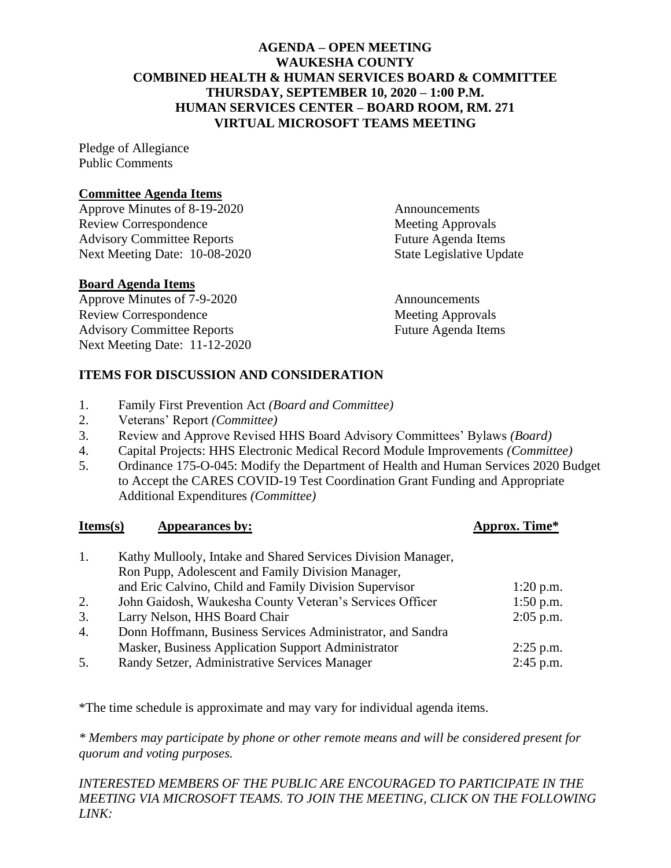# **AGENDA – OPEN MEETING WAUKESHA COUNTY COMBINED HEALTH & HUMAN SERVICES BOARD & COMMITTEE THURSDAY, SEPTEMBER 10, 2020 – 1:00 P.M. HUMAN SERVICES CENTER – BOARD ROOM, RM. 271 VIRTUAL MICROSOFT TEAMS MEETING**

Pledge of Allegiance Public Comments

# **Committee Agenda Items**

Approve Minutes of 8-19-2020 Announcements Review Correspondence Meeting Approvals Advisory Committee Reports Future Agenda Items Next Meeting Date: 10-08-2020 State Legislative Update

# **Board Agenda Items**

Approve Minutes of 7-9-2020 Announcements Review Correspondence and the Meeting Approvals Advisory Committee Reports Future Agenda Items Next Meeting Date: 11-12-2020

# **ITEMS FOR DISCUSSION AND CONSIDERATION**

- 1. Family First Prevention Act *(Board and Committee)*
- 2. Veterans' Report *(Committee)*
- 3. Review and Approve Revised HHS Board Advisory Committees' Bylaws *(Board)*
- 4. Capital Projects: HHS Electronic Medical Record Module Improvements *(Committee)*
- 5. Ordinance 175-O-045: Modify the Department of Health and Human Services 2020 Budget to Accept the CARES COVID-19 Test Coordination Grant Funding and Appropriate Additional Expenditures *(Committee)*

#### **Items(s) Appearances by: Approx. Time\***

| 1.               | Kathy Mullooly, Intake and Shared Services Division Manager,<br>Ron Pupp, Adolescent and Family Division Manager, |             |
|------------------|-------------------------------------------------------------------------------------------------------------------|-------------|
|                  | and Eric Calvino, Child and Family Division Supervisor                                                            | $1:20$ p.m. |
| 2.               | John Gaidosh, Waukesha County Veteran's Services Officer                                                          | $1:50$ p.m. |
| 3.               | Larry Nelson, HHS Board Chair                                                                                     | $2:05$ p.m. |
| $\overline{4}$ . | Donn Hoffmann, Business Services Administrator, and Sandra                                                        |             |
|                  | Masker, Business Application Support Administrator                                                                | $2:25$ p.m. |
| 5.               | Randy Setzer, Administrative Services Manager                                                                     | $2:45$ p.m. |

\*The time schedule is approximate and may vary for individual agenda items.

*\* Members may participate by phone or other remote means and will be considered present for quorum and voting purposes.* 

*INTERESTED MEMBERS OF THE PUBLIC ARE ENCOURAGED TO PARTICIPATE IN THE MEETING VIA MICROSOFT TEAMS. TO JOIN THE MEETING, CLICK ON THE FOLLOWING LINK:*